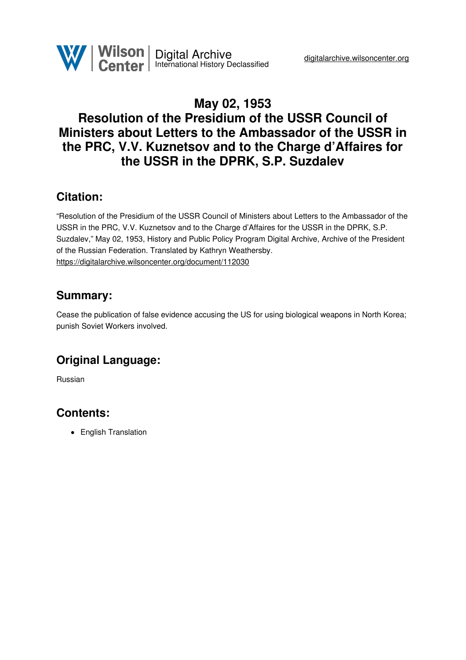

# **May 02, 1953 Resolution of the Presidium of the USSR Council of Ministers about Letters to the Ambassador of the USSR in the PRC, V.V. Kuznetsov and to the Charge d'Affaires for the USSR in the DPRK, S.P. Suzdalev**

## **Citation:**

"Resolution of the Presidium of the USSR Council of Ministers about Letters to the Ambassador of the USSR in the PRC, V.V. Kuznetsov and to the Charge d'Affaires for the USSR in the DPRK, S.P. Suzdalev," May 02, 1953, History and Public Policy Program Digital Archive, Archive of the President of the Russian Federation. Translated by Kathryn Weathersby. <https://digitalarchive.wilsoncenter.org/document/112030>

#### **Summary:**

Cease the publication of false evidence accusing the US for using biological weapons in North Korea; punish Soviet Workers involved.

## **Original Language:**

Russian

## **Contents:**

• English Translation